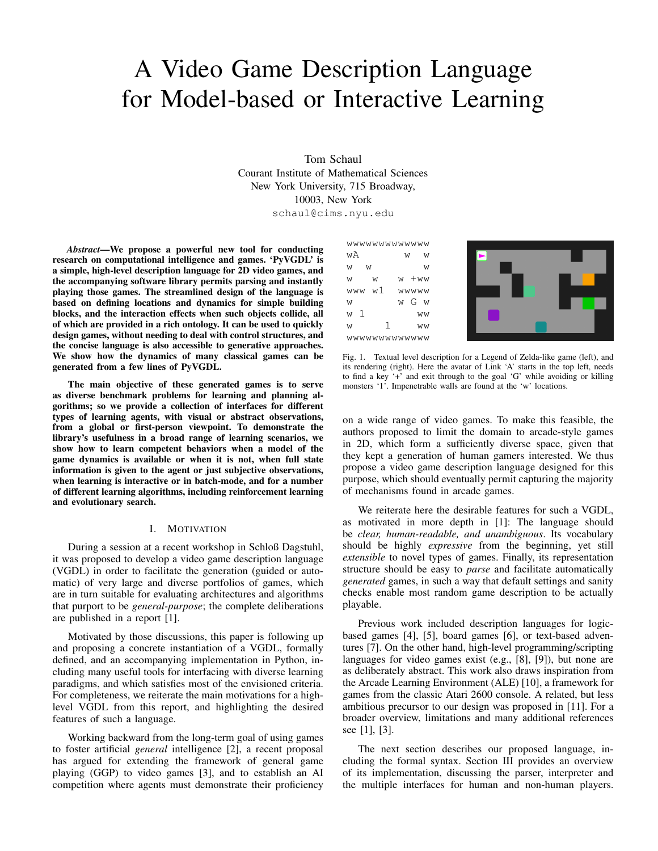# A Video Game Description Language for Model-based or Interactive Learning

Tom Schaul Courant Institute of Mathematical Sciences New York University, 715 Broadway, 10003, New York

schaul@cims.nyu.edu

*Abstract*—We propose a powerful new tool for conducting research on computational intelligence and games. 'PyVGDL' is a simple, high-level description language for 2D video games, and the accompanying software library permits parsing and instantly playing those games. The streamlined design of the language is based on defining locations and dynamics for simple building blocks, and the interaction effects when such objects collide, all of which are provided in a rich ontology. It can be used to quickly design games, without needing to deal with control structures, and the concise language is also accessible to generative approaches. We show how the dynamics of many classical games can be generated from a few lines of PyVGDL.

The main objective of these generated games is to serve as diverse benchmark problems for learning and planning algorithms; so we provide a collection of interfaces for different types of learning agents, with visual or abstract observations, from a global or first-person viewpoint. To demonstrate the library's usefulness in a broad range of learning scenarios, we show how to learn competent behaviors when a model of the game dynamics is available or when it is not, when full state information is given to the agent or just subjective observations, when learning is interactive or in batch-mode, and for a number of different learning algorithms, including reinforcement learning and evolutionary search.

#### I. MOTIVATION

During a session at a recent workshop in Schloß Dagstuhl, it was proposed to develop a video game description language (VGDL) in order to facilitate the generation (guided or automatic) of very large and diverse portfolios of games, which are in turn suitable for evaluating architectures and algorithms that purport to be *general-purpose*; the complete deliberations are published in a report [1].

Motivated by those discussions, this paper is following up and proposing a concrete instantiation of a VGDL, formally defined, and an accompanying implementation in Python, including many useful tools for interfacing with diverse learning paradigms, and which satisfies most of the envisioned criteria. For completeness, we reiterate the main motivations for a highlevel VGDL from this report, and highlighting the desired features of such a language.

Working backward from the long-term goal of using games to foster artificial *general* intelligence [2], a recent proposal has argued for extending the framework of general game playing (GGP) to video games [3], and to establish an AI competition where agents must demonstrate their proficiency

|             | wwwwwwwwwww |          |  |    |
|-------------|-------------|----------|--|----|
| wΑ          |             | W        |  | W  |
| W<br>W      |             |          |  | W  |
| W           | W           | $w + ww$ |  |    |
| www w1      |             | wwww     |  |    |
| W           |             | w G w    |  |    |
| w 1         |             |          |  | WW |
| W           | 1           |          |  | WW |
| wwwwwwwwwww |             |          |  |    |



Fig. 1. Textual level description for a Legend of Zelda-like game (left), and its rendering (right). Here the avatar of Link 'A' starts in the top left, needs to find a key '+' and exit through to the goal 'G' while avoiding or killing monsters '1'. Impenetrable walls are found at the 'w' locations.

on a wide range of video games. To make this feasible, the authors proposed to limit the domain to arcade-style games in 2D, which form a sufficiently diverse space, given that they kept a generation of human gamers interested. We thus propose a video game description language designed for this purpose, which should eventually permit capturing the majority of mechanisms found in arcade games.

We reiterate here the desirable features for such a VGDL, as motivated in more depth in [1]: The language should be *clear, human-readable, and unambiguous*. Its vocabulary should be highly *expressive* from the beginning, yet still *extensible* to novel types of games. Finally, its representation structure should be easy to *parse* and facilitate automatically *generated* games, in such a way that default settings and sanity checks enable most random game description to be actually playable.

Previous work included description languages for logicbased games [4], [5], board games [6], or text-based adventures [7]. On the other hand, high-level programming/scripting languages for video games exist (e.g., [8], [9]), but none are as deliberately abstract. This work also draws inspiration from the Arcade Learning Environment (ALE) [10], a framework for games from the classic Atari 2600 console. A related, but less ambitious precursor to our design was proposed in [11]. For a broader overview, limitations and many additional references see [1], [3].

The next section describes our proposed language, including the formal syntax. Section III provides an overview of its implementation, discussing the parser, interpreter and the multiple interfaces for human and non-human players.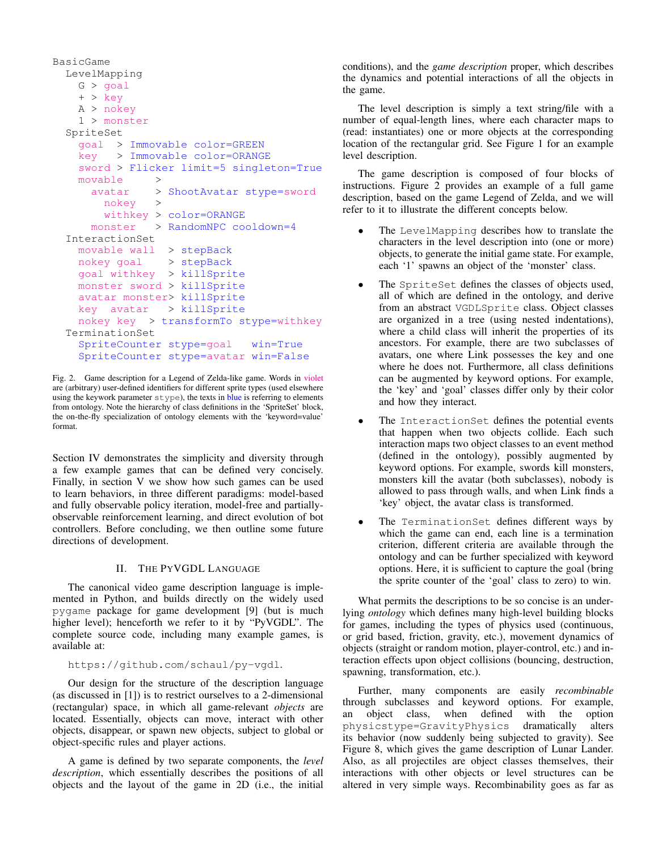```
BasicGame
LevelMapping
  G > goal
  + > key
  A > nokey
  1 > monster
SpriteSet
  goal > Immovable color=GREEN
  key > Immovable color=ORANGE
  sword > Flicker limit=5 singleton=True
  movable >
    avatar > ShootAvatar stype=sword
      nokey >
      withkey > color=ORANGE
    monster > RandomNPC cooldown=4
InteractionSet
  movable wall > stepBack
  nokey goal > stepBack
  goal withkey > killSprite
  monster sword > killSprite
  avatar monster> killSprite
  key avatar > killSprite
  nokey key > transformTo stype=withkey
TerminationSet
  SpriteCounter stype=goal win=True
  SpriteCounter stype=avatar win=False
```
Fig. 2. Game description for a Legend of Zelda-like game. Words in violet are (arbitrary) user-defined identifiers for different sprite types (used elsewhere using the keywork parameter  $stepe$ , the texts in blue is referring to elements from ontology. Note the hierarchy of class definitions in the 'SpriteSet' block, the on-the-fly specialization of ontology elements with the 'keyword=value' format.

Section IV demonstrates the simplicity and diversity through a few example games that can be defined very concisely. Finally, in section V we show how such games can be used to learn behaviors, in three different paradigms: model-based and fully observable policy iteration, model-free and partiallyobservable reinforcement learning, and direct evolution of bot controllers. Before concluding, we then outline some future directions of development.

# II. THE PYVGDL LANGUAGE

The canonical video game description language is implemented in Python, and builds directly on the widely used pygame package for game development [9] (but is much higher level); henceforth we refer to it by "PyVGDL". The complete source code, including many example games, is available at:

https://github.com/schaul/py-vgdl.

Our design for the structure of the description language (as discussed in [1]) is to restrict ourselves to a 2-dimensional (rectangular) space, in which all game-relevant *objects* are located. Essentially, objects can move, interact with other objects, disappear, or spawn new objects, subject to global or object-specific rules and player actions.

A game is defined by two separate components, the *level description*, which essentially describes the positions of all objects and the layout of the game in 2D (i.e., the initial conditions), and the *game description* proper, which describes the dynamics and potential interactions of all the objects in the game.

The level description is simply a text string/file with a number of equal-length lines, where each character maps to (read: instantiates) one or more objects at the corresponding location of the rectangular grid. See Figure 1 for an example level description.

The game description is composed of four blocks of instructions. Figure 2 provides an example of a full game description, based on the game Legend of Zelda, and we will refer to it to illustrate the different concepts below.

- The LevelMapping describes how to translate the characters in the level description into (one or more) objects, to generate the initial game state. For example, each '1' spawns an object of the 'monster' class.
- The SpriteSet defines the classes of objects used, all of which are defined in the ontology, and derive from an abstract VGDLSprite class. Object classes are organized in a tree (using nested indentations), where a child class will inherit the properties of its ancestors. For example, there are two subclasses of avatars, one where Link possesses the key and one where he does not. Furthermore, all class definitions can be augmented by keyword options. For example, the 'key' and 'goal' classes differ only by their color and how they interact.
- The InteractionSet defines the potential events that happen when two objects collide. Each such interaction maps two object classes to an event method (defined in the ontology), possibly augmented by keyword options. For example, swords kill monsters, monsters kill the avatar (both subclasses), nobody is allowed to pass through walls, and when Link finds a 'key' object, the avatar class is transformed.
- The TerminationSet defines different ways by which the game can end, each line is a termination criterion, different criteria are available through the ontology and can be further specialized with keyword options. Here, it is sufficient to capture the goal (bring the sprite counter of the 'goal' class to zero) to win.

What permits the descriptions to be so concise is an underlying *ontology* which defines many high-level building blocks for games, including the types of physics used (continuous, or grid based, friction, gravity, etc.), movement dynamics of objects (straight or random motion, player-control, etc.) and interaction effects upon object collisions (bouncing, destruction, spawning, transformation, etc.).

Further, many components are easily *recombinable* through subclasses and keyword options. For example, an object class, when defined with the option physicstype=GravityPhysics dramatically alters its behavior (now suddenly being subjected to gravity). See Figure 8, which gives the game description of Lunar Lander. Also, as all projectiles are object classes themselves, their interactions with other objects or level structures can be altered in very simple ways. Recombinability goes as far as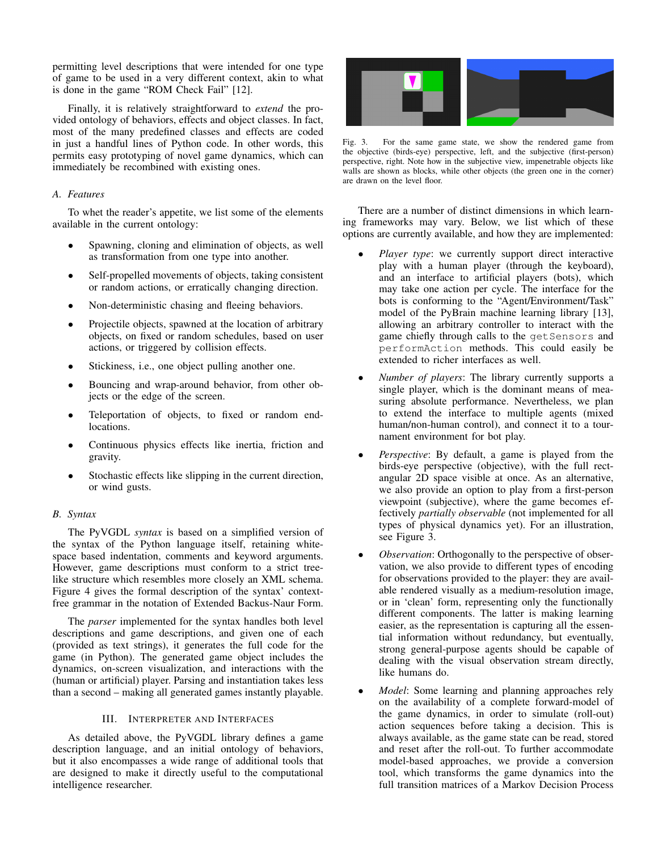permitting level descriptions that were intended for one type of game to be used in a very different context, akin to what is done in the game "ROM Check Fail" [12].

Finally, it is relatively straightforward to *extend* the provided ontology of behaviors, effects and object classes. In fact, most of the many predefined classes and effects are coded in just a handful lines of Python code. In other words, this permits easy prototyping of novel game dynamics, which can immediately be recombined with existing ones.

# *A. Features*

To whet the reader's appetite, we list some of the elements available in the current ontology:

- Spawning, cloning and elimination of objects, as well as transformation from one type into another.
- Self-propelled movements of objects, taking consistent or random actions, or erratically changing direction.
- Non-deterministic chasing and fleeing behaviors.
- Projectile objects, spawned at the location of arbitrary objects, on fixed or random schedules, based on user actions, or triggered by collision effects.
- Stickiness, i.e., one object pulling another one.
- Bouncing and wrap-around behavior, from other objects or the edge of the screen.
- Teleportation of objects, to fixed or random endlocations.
- Continuous physics effects like inertia, friction and gravity.
- Stochastic effects like slipping in the current direction, or wind gusts.

# *B. Syntax*

The PyVGDL *syntax* is based on a simplified version of the syntax of the Python language itself, retaining whitespace based indentation, comments and keyword arguments. However, game descriptions must conform to a strict treelike structure which resembles more closely an XML schema. Figure 4 gives the formal description of the syntax' contextfree grammar in the notation of Extended Backus-Naur Form.

The *parser* implemented for the syntax handles both level descriptions and game descriptions, and given one of each (provided as text strings), it generates the full code for the game (in Python). The generated game object includes the dynamics, on-screen visualization, and interactions with the (human or artificial) player. Parsing and instantiation takes less than a second – making all generated games instantly playable.

## III. INTERPRETER AND INTERFACES

As detailed above, the PyVGDL library defines a game description language, and an initial ontology of behaviors, but it also encompasses a wide range of additional tools that are designed to make it directly useful to the computational intelligence researcher.



Fig. 3. For the same game state, we show the rendered game from the objective (birds-eye) perspective, left, and the subjective (first-person) perspective, right. Note how in the subjective view, impenetrable objects like walls are shown as blocks, while other objects (the green one in the corner) are drawn on the level floor.

There are a number of distinct dimensions in which learning frameworks may vary. Below, we list which of these options are currently available, and how they are implemented:

- *Player type*: we currently support direct interactive play with a human player (through the keyboard), and an interface to artificial players (bots), which may take one action per cycle. The interface for the bots is conforming to the "Agent/Environment/Task" model of the PyBrain machine learning library [13], allowing an arbitrary controller to interact with the game chiefly through calls to the getSensors and performAction methods. This could easily be extended to richer interfaces as well.
- *Number of players*: The library currently supports a single player, which is the dominant means of measuring absolute performance. Nevertheless, we plan to extend the interface to multiple agents (mixed human/non-human control), and connect it to a tournament environment for bot play.
- *Perspective*: By default, a game is played from the birds-eye perspective (objective), with the full rectangular 2D space visible at once. As an alternative, we also provide an option to play from a first-person viewpoint (subjective), where the game becomes effectively *partially observable* (not implemented for all types of physical dynamics yet). For an illustration, see Figure 3.
- *Observation*: Orthogonally to the perspective of observation, we also provide to different types of encoding for observations provided to the player: they are available rendered visually as a medium-resolution image, or in 'clean' form, representing only the functionally different components. The latter is making learning easier, as the representation is capturing all the essential information without redundancy, but eventually, strong general-purpose agents should be capable of dealing with the visual observation stream directly, like humans do.
- *Model*: Some learning and planning approaches rely on the availability of a complete forward-model of the game dynamics, in order to simulate (roll-out) action sequences before taking a decision. This is always available, as the game state can be read, stored and reset after the roll-out. To further accommodate model-based approaches, we provide a conversion tool, which transforms the game dynamics into the full transition matrices of a Markov Decision Process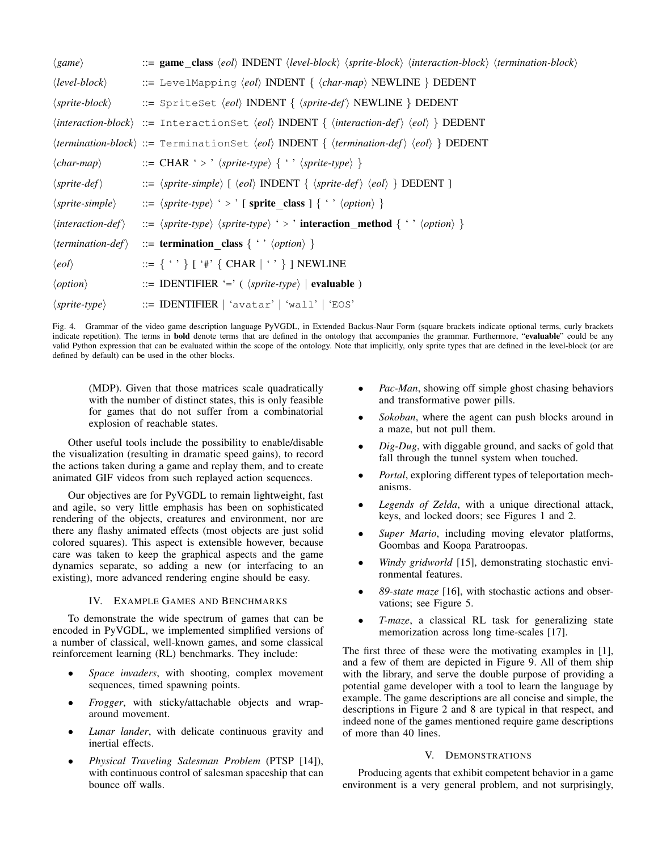| $\langle game \rangle$                   | $\therefore$ game class $\langle e \circ d \rangle$ INDENT $\langle level\text{-}block \rangle$ $\langle sprite\text{-}block \rangle$ $\langle iteration\text{-}block \rangle$ $\langle termination\text{-}block \rangle$ |
|------------------------------------------|---------------------------------------------------------------------------------------------------------------------------------------------------------------------------------------------------------------------------|
| $\langle level\text{-}block\rangle$      | ::= LevelMapping $\langle e0\rangle$ INDENT $\{\langle char-map\rangle$ NEWLINE $\}$ DEDENT                                                                                                                               |
| $\langle$ sprite-block $\rangle$         | ::= SpriteSet $\langle e \circ d \rangle$ INDENT $\{\langle sprite\text{-}def \rangle\}$ NEWLINE $\}$ DEDENT                                                                                                              |
|                                          | $\langle interaction-block \rangle ::=$ Interactionset $\langle ecl \rangle$ INDENT $\{ \langle interaction-def \rangle \langle ecl \rangle \}$ DEDENT                                                                    |
|                                          | $\langle termination-block \rangle ::= \text{Terminationset } \langle eol \rangle$ INDENT $\{ \langle termination-def \rangle \langle eol \rangle \}$ DEDENT                                                              |
| $\langle char-map \rangle$               | $\Rightarrow$ CHAR ' > ' $\langle$ sprite-type $\rangle$ { ' ' $\langle$ sprite-type $\rangle$ }                                                                                                                          |
| $\langle$ sprite-def $\rangle$           | $ ::= \langle$ sprite-simple $\rangle$ [ $\langle eol \rangle$ INDENT { $\langle$ sprite-def $\rangle$ $\langle eol \rangle$ } DEDENT ]                                                                                   |
| $\langle$ sprite-simple $\rangle$        | $\Rightarrow$ $\langle$ sprite-type $\rangle$ $\rightarrow$ $\langle$ sprite_class $\rangle$ { $\langle \circ \rangle$ $\langle$ option $\rangle$ }                                                                       |
| $\langle interaction\text{-}def \rangle$ | $\Rightarrow$ $\langle$ sprite-type $\rangle$ $\langle$ sprite-type $\rangle$ $\rightarrow$ $\cdot$ interaction method $\{\cdot, \langle$ $\rangle$ $\langle$ $\rangle$                                                   |
| $\langle termination\text{-}def \rangle$ | $ ::=$ termination_class { ' ' $\langle option \rangle$ }                                                                                                                                                                 |
| $\langle eol \rangle$                    | ::= $\{ \cdot \cdot \}$ [ '#' $\{$ CHAR $  \cdot \cdot \}$ ] NEWLINE                                                                                                                                                      |
| $\langle option \rangle$                 | $ ::=$ IDENTIFIER '=' ( $\langle$ sprite-type $\rangle$   evaluable )                                                                                                                                                     |
| $\langle$ sprite-type $\rangle$          | $ ::=$ IDENTIFIER   'avatar'   'wall'   'EOS'                                                                                                                                                                             |

Fig. 4. Grammar of the video game description language PyVGDL, in Extended Backus-Naur Form (square brackets indicate optional terms, curly brackets indicate repetition). The terms in **bold** denote terms that are defined in the ontology that accompanies the grammar. Furthermore, "evaluable" could be any valid Python expression that can be evaluated within the scope of the ontology. Note that implicitly, only sprite types that are defined in the level-block (or are defined by default) can be used in the other blocks.

(MDP). Given that those matrices scale quadratically with the number of distinct states, this is only feasible for games that do not suffer from a combinatorial explosion of reachable states.

Other useful tools include the possibility to enable/disable the visualization (resulting in dramatic speed gains), to record the actions taken during a game and replay them, and to create animated GIF videos from such replayed action sequences.

Our objectives are for PyVGDL to remain lightweight, fast and agile, so very little emphasis has been on sophisticated rendering of the objects, creatures and environment, nor are there any flashy animated effects (most objects are just solid colored squares). This aspect is extensible however, because care was taken to keep the graphical aspects and the game dynamics separate, so adding a new (or interfacing to an existing), more advanced rendering engine should be easy.

## IV. EXAMPLE GAMES AND BENCHMARKS

To demonstrate the wide spectrum of games that can be encoded in PyVGDL, we implemented simplified versions of a number of classical, well-known games, and some classical reinforcement learning (RL) benchmarks. They include:

- *Space invaders*, with shooting, complex movement sequences, timed spawning points.
- *Frogger*, with sticky/attachable objects and wraparound movement.
- *Lunar lander*, with delicate continuous gravity and inertial effects.
- *Physical Traveling Salesman Problem* (PTSP [14]), with continuous control of salesman spaceship that can bounce off walls.
- *Pac-Man*, showing off simple ghost chasing behaviors and transformative power pills.
- *Sokoban*, where the agent can push blocks around in a maze, but not pull them.
- *Dig-Dug*, with diggable ground, and sacks of gold that fall through the tunnel system when touched.
- *Portal*, exploring different types of teleportation mechanisms.
- Legends of Zelda, with a unique directional attack, keys, and locked doors; see Figures 1 and 2.
- Super Mario, including moving elevator platforms, Goombas and Koopa Paratroopas.
- *Windy gridworld* [15], demonstrating stochastic environmental features.
- *89-state maze* [16], with stochastic actions and observations; see Figure 5.
- *T-maze*, a classical RL task for generalizing state memorization across long time-scales [17].

The first three of these were the motivating examples in [1], and a few of them are depicted in Figure 9. All of them ship with the library, and serve the double purpose of providing a potential game developer with a tool to learn the language by example. The game descriptions are all concise and simple, the descriptions in Figure 2 and 8 are typical in that respect, and indeed none of the games mentioned require game descriptions of more than 40 lines.

# V. DEMONSTRATIONS

Producing agents that exhibit competent behavior in a game environment is a very general problem, and not surprisingly,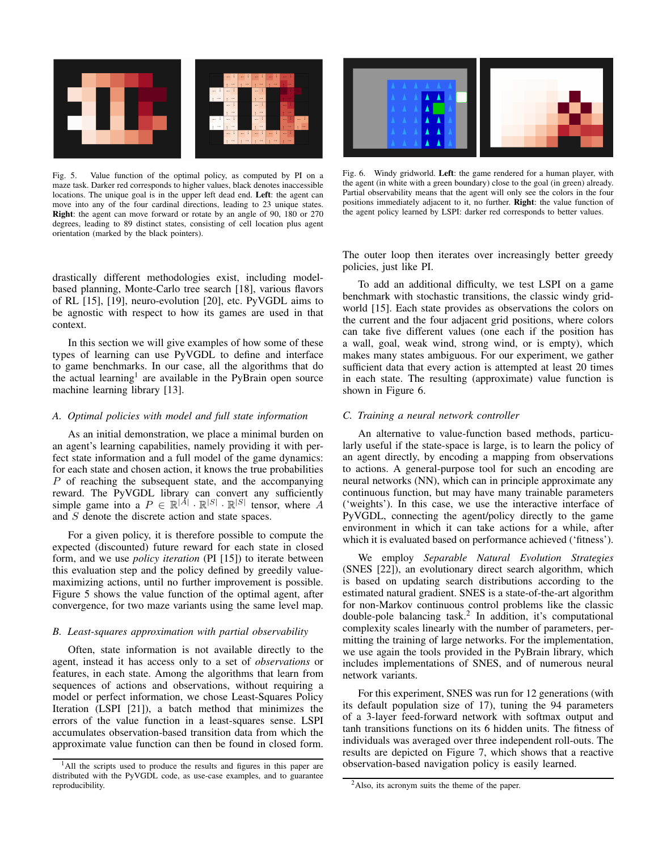

Fig. 5. Value function of the optimal policy, as computed by PI on a maze task. Darker red corresponds to higher values, black denotes inaccessible locations. The unique goal is in the upper left dead end. Left: the agent can move into any of the four cardinal directions, leading to 23 unique states. Right: the agent can move forward or rotate by an angle of 90, 180 or 270 degrees, leading to 89 distinct states, consisting of cell location plus agent orientation (marked by the black pointers).

drastically different methodologies exist, including modelbased planning, Monte-Carlo tree search [18], various flavors of RL [15], [19], neuro-evolution [20], etc. PyVGDL aims to be agnostic with respect to how its games are used in that context.

In this section we will give examples of how some of these types of learning can use PyVGDL to define and interface to game benchmarks. In our case, all the algorithms that do the actual learning<sup>1</sup> are available in the PyBrain open source machine learning library [13].

## *A. Optimal policies with model and full state information*

As an initial demonstration, we place a minimal burden on an agent's learning capabilities, namely providing it with perfect state information and a full model of the game dynamics: for each state and chosen action, it knows the true probabilities P of reaching the subsequent state, and the accompanying reward. The PyVGDL library can convert any sufficiently simple game into a  $P \in \mathbb{R}^{|A|} \cdot \mathbb{R}^{|S|} \cdot \mathbb{R}^{|S|}$  tensor, where A and S denote the discrete action and state spaces.

For a given policy, it is therefore possible to compute the expected (discounted) future reward for each state in closed form, and we use *policy iteration* (PI [15]) to iterate between this evaluation step and the policy defined by greedily valuemaximizing actions, until no further improvement is possible. Figure 5 shows the value function of the optimal agent, after convergence, for two maze variants using the same level map.

#### *B. Least-squares approximation with partial observability*

Often, state information is not available directly to the agent, instead it has access only to a set of *observations* or features, in each state. Among the algorithms that learn from sequences of actions and observations, without requiring a model or perfect information, we chose Least-Squares Policy Iteration (LSPI [21]), a batch method that minimizes the errors of the value function in a least-squares sense. LSPI accumulates observation-based transition data from which the approximate value function can then be found in closed form.



Fig. 6. Windy gridworld. Left: the game rendered for a human player, with the agent (in white with a green boundary) close to the goal (in green) already. Partial observability means that the agent will only see the colors in the four positions immediately adjacent to it, no further. Right: the value function of the agent policy learned by LSPI: darker red corresponds to better values.

The outer loop then iterates over increasingly better greedy policies, just like PI.

To add an additional difficulty, we test LSPI on a game benchmark with stochastic transitions, the classic windy gridworld [15]. Each state provides as observations the colors on the current and the four adjacent grid positions, where colors can take five different values (one each if the position has a wall, goal, weak wind, strong wind, or is empty), which makes many states ambiguous. For our experiment, we gather sufficient data that every action is attempted at least 20 times in each state. The resulting (approximate) value function is shown in Figure 6.

#### *C. Training a neural network controller*

An alternative to value-function based methods, particularly useful if the state-space is large, is to learn the policy of an agent directly, by encoding a mapping from observations to actions. A general-purpose tool for such an encoding are neural networks (NN), which can in principle approximate any continuous function, but may have many trainable parameters ('weights'). In this case, we use the interactive interface of PyVGDL, connecting the agent/policy directly to the game environment in which it can take actions for a while, after which it is evaluated based on performance achieved ('fitness').

We employ *Separable Natural Evolution Strategies* (SNES [22]), an evolutionary direct search algorithm, which is based on updating search distributions according to the estimated natural gradient. SNES is a state-of-the-art algorithm for non-Markov continuous control problems like the classic double-pole balancing task.<sup>2</sup> In addition, it's computational complexity scales linearly with the number of parameters, permitting the training of large networks. For the implementation, we use again the tools provided in the PyBrain library, which includes implementations of SNES, and of numerous neural network variants.

For this experiment, SNES was run for 12 generations (with its default population size of 17), tuning the 94 parameters of a 3-layer feed-forward network with softmax output and tanh transitions functions on its 6 hidden units. The fitness of individuals was averaged over three independent roll-outs. The results are depicted on Figure 7, which shows that a reactive observation-based navigation policy is easily learned.

<sup>&</sup>lt;sup>1</sup>All the scripts used to produce the results and figures in this paper are distributed with the PyVGDL code, as use-case examples, and to guarantee reproducibility.

<sup>&</sup>lt;sup>2</sup>Also, its acronym suits the theme of the paper.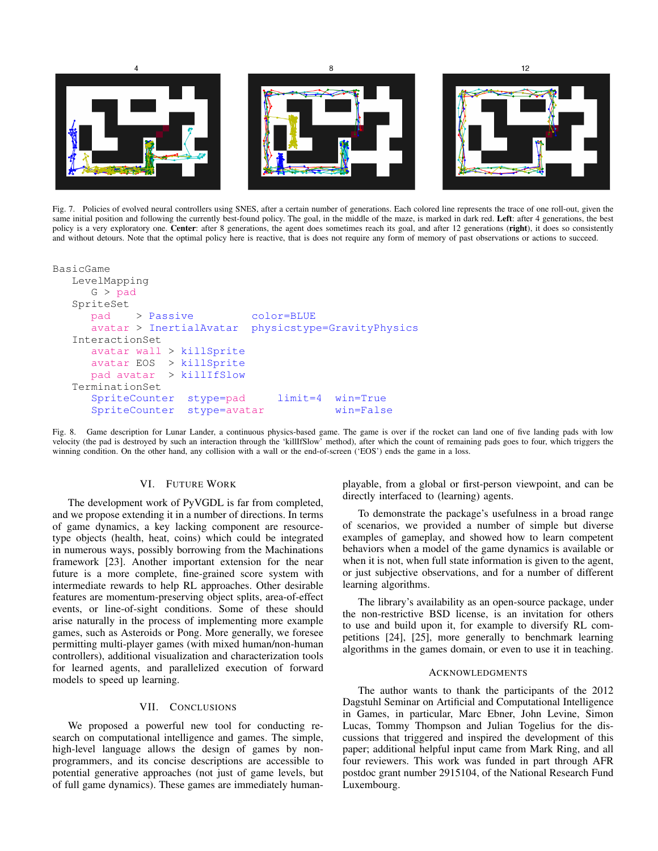

Fig. 7. Policies of evolved neural controllers using SNES, after a certain number of generations. Each colored line represents the trace of one roll-out, given the same initial position and following the currently best-found policy. The goal, in the middle of the maze, is marked in dark red. Left: after 4 generations, the best policy is a very exploratory one. Center: after 8 generations, the agent does sometimes reach its goal, and after 12 generations (right), it does so consistently and without detours. Note that the optimal policy here is reactive, that is does not require any form of memory of past observations or actions to succeed.

| BasicGame                     |                            |
|-------------------------------|----------------------------|
| LevelMapping                  |                            |
| G > pad                       |                            |
| SpriteSet                     |                            |
| $pad$ > Passive               | color=BLUE                 |
| avatar > InertialAvatar       | physicstype=GravityPhysics |
| InteractionSet                |                            |
| $avatar$ wall > killSprite    |                            |
| avatar EOS > killSprite       |                            |
| pad avatar > killIfSlow       |                            |
| TerminationSet                |                            |
| SpriteCounter stype=pad       | limit=4 win=True           |
| SpriteCounter<br>stype=avatar | $win=False$                |

Fig. 8. Game description for Lunar Lander, a continuous physics-based game. The game is over if the rocket can land one of five landing pads with low velocity (the pad is destroyed by such an interaction through the 'killIfSlow' method), after which the count of remaining pads goes to four, which triggers the winning condition. On the other hand, any collision with a wall or the end-of-screen ('EOS') ends the game in a loss.

## VI. FUTURE WORK

The development work of PyVGDL is far from completed, and we propose extending it in a number of directions. In terms of game dynamics, a key lacking component are resourcetype objects (health, heat, coins) which could be integrated in numerous ways, possibly borrowing from the Machinations framework [23]. Another important extension for the near future is a more complete, fine-grained score system with intermediate rewards to help RL approaches. Other desirable features are momentum-preserving object splits, area-of-effect events, or line-of-sight conditions. Some of these should arise naturally in the process of implementing more example games, such as Asteroids or Pong. More generally, we foresee permitting multi-player games (with mixed human/non-human controllers), additional visualization and characterization tools for learned agents, and parallelized execution of forward models to speed up learning.

## VII. CONCLUSIONS

We proposed a powerful new tool for conducting research on computational intelligence and games. The simple, high-level language allows the design of games by nonprogrammers, and its concise descriptions are accessible to potential generative approaches (not just of game levels, but of full game dynamics). These games are immediately humanplayable, from a global or first-person viewpoint, and can be directly interfaced to (learning) agents.

To demonstrate the package's usefulness in a broad range of scenarios, we provided a number of simple but diverse examples of gameplay, and showed how to learn competent behaviors when a model of the game dynamics is available or when it is not, when full state information is given to the agent, or just subjective observations, and for a number of different learning algorithms.

The library's availability as an open-source package, under the non-restrictive BSD license, is an invitation for others to use and build upon it, for example to diversify RL competitions [24], [25], more generally to benchmark learning algorithms in the games domain, or even to use it in teaching.

#### ACKNOWLEDGMENTS

The author wants to thank the participants of the 2012 Dagstuhl Seminar on Artificial and Computational Intelligence in Games, in particular, Marc Ebner, John Levine, Simon Lucas, Tommy Thompson and Julian Togelius for the discussions that triggered and inspired the development of this paper; additional helpful input came from Mark Ring, and all four reviewers. This work was funded in part through AFR postdoc grant number 2915104, of the National Research Fund Luxembourg.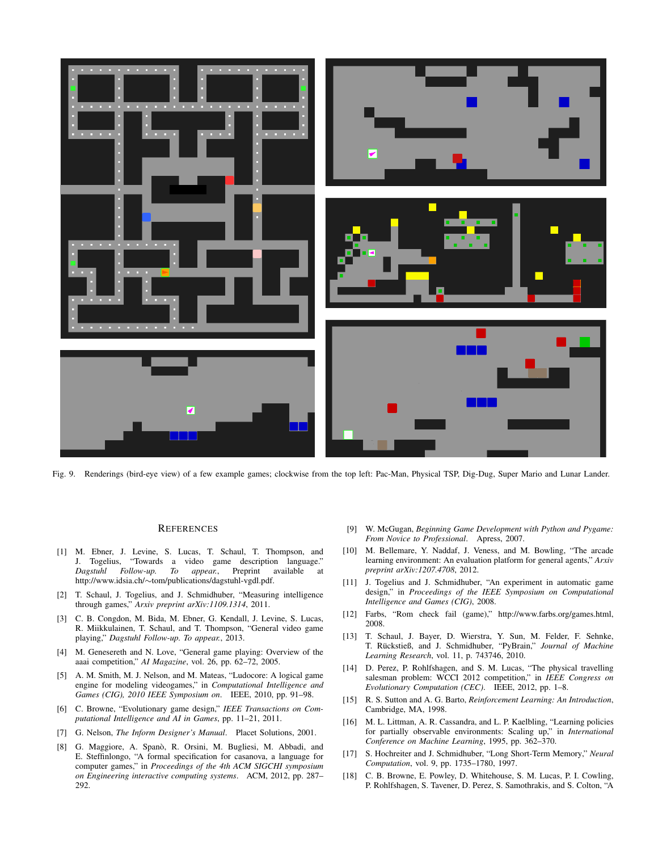

Fig. 9. Renderings (bird-eye view) of a few example games; clockwise from the top left: Pac-Man, Physical TSP, Dig-Dug, Super Mario and Lunar Lander.

#### **REFERENCES**

- [1] M. Ebner, J. Levine, S. Lucas, T. Schaul, T. Thompson, and J. Togelius, "Towards a video game description language." *Dagstuhl Follow-up. To appear.*, Preprint available at http://www.idsia.ch/∼tom/publications/dagstuhl-vgdl.pdf.
- [2] T. Schaul, J. Togelius, and J. Schmidhuber, "Measuring intelligence through games," *Arxiv preprint arXiv:1109.1314*, 2011.
- [3] C. B. Congdon, M. Bida, M. Ebner, G. Kendall, J. Levine, S. Lucas, R. Miikkulainen, T. Schaul, and T. Thompson, "General video game playing," *Dagstuhl Follow-up. To appear.*, 2013.
- [4] M. Genesereth and N. Love, "General game playing: Overview of the aaai competition," *AI Magazine*, vol. 26, pp. 62–72, 2005.
- [5] A. M. Smith, M. J. Nelson, and M. Mateas, "Ludocore: A logical game engine for modeling videogames," in *Computational Intelligence and Games (CIG), 2010 IEEE Symposium on*. IEEE, 2010, pp. 91–98.
- [6] C. Browne, "Evolutionary game design," *IEEE Transactions on Computational Intelligence and AI in Games*, pp. 11–21, 2011.
- [7] G. Nelson, *The Inform Designer's Manual*. Placet Solutions, 2001.
- [8] G. Maggiore, A. Spanò, R. Orsini, M. Bugliesi, M. Abbadi, and E. Steffinlongo, "A formal specification for casanova, a language for computer games," in *Proceedings of the 4th ACM SIGCHI symposium on Engineering interactive computing systems*. ACM, 2012, pp. 287– 292.
- [9] W. McGugan, *Beginning Game Development with Python and Pygame: From Novice to Professional*. Apress, 2007.
- [10] M. Bellemare, Y. Naddaf, J. Veness, and M. Bowling, "The arcade learning environment: An evaluation platform for general agents," *Arxiv preprint arXiv:1207.4708*, 2012.
- [11] J. Togelius and J. Schmidhuber, "An experiment in automatic game design," in *Proceedings of the IEEE Symposium on Computational Intelligence and Games (CIG)*, 2008.
- [12] Farbs, "Rom check fail (game)," http://www.farbs.org/games.html, 2008.
- [13] T. Schaul, J. Bayer, D. Wierstra, Y. Sun, M. Felder, F. Sehnke, T. Rückstieß, and J. Schmidhuber, "PyBrain," Journal of Machine *Learning Research*, vol. 11, p. 743746, 2010.
- [14] D. Perez, P. Rohlfshagen, and S. M. Lucas, "The physical travelling salesman problem: WCCI 2012 competition," in *IEEE Congress on Evolutionary Computation (CEC)*. IEEE, 2012, pp. 1–8.
- [15] R. S. Sutton and A. G. Barto, *Reinforcement Learning: An Introduction*, Cambridge, MA, 1998.
- [16] M. L. Littman, A. R. Cassandra, and L. P. Kaelbling, "Learning policies for partially observable environments: Scaling up," in *International Conference on Machine Learning*, 1995, pp. 362–370.
- [17] S. Hochreiter and J. Schmidhuber, "Long Short-Term Memory," *Neural Computation*, vol. 9, pp. 1735–1780, 1997.
- [18] C. B. Browne, E. Powley, D. Whitehouse, S. M. Lucas, P. I. Cowling, P. Rohlfshagen, S. Tavener, D. Perez, S. Samothrakis, and S. Colton, "A